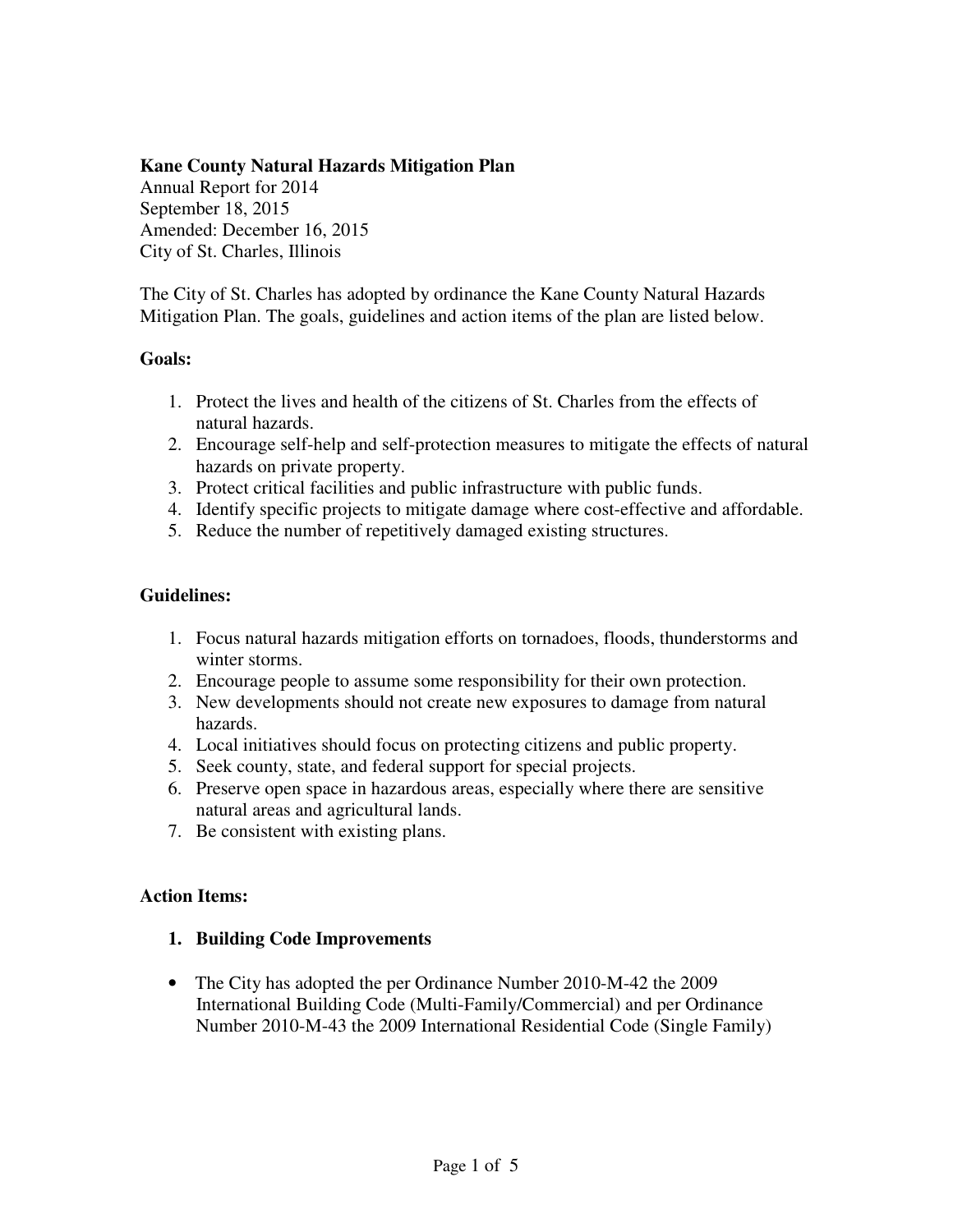### **Kane County Natural Hazards Mitigation Plan**

Annual Report for 2014 September 18, 2015 Amended: December 16, 2015 City of St. Charles, Illinois

The City of St. Charles has adopted by ordinance the Kane County Natural Hazards Mitigation Plan. The goals, guidelines and action items of the plan are listed below.

### **Goals:**

- 1. Protect the lives and health of the citizens of St. Charles from the effects of natural hazards.
- 2. Encourage self-help and self-protection measures to mitigate the effects of natural hazards on private property.
- 3. Protect critical facilities and public infrastructure with public funds.
- 4. Identify specific projects to mitigate damage where cost-effective and affordable.
- 5. Reduce the number of repetitively damaged existing structures.

### **Guidelines:**

- 1. Focus natural hazards mitigation efforts on tornadoes, floods, thunderstorms and winter storms.
- 2. Encourage people to assume some responsibility for their own protection.
- 3. New developments should not create new exposures to damage from natural hazards.
- 4. Local initiatives should focus on protecting citizens and public property.
- 5. Seek county, state, and federal support for special projects.
- 6. Preserve open space in hazardous areas, especially where there are sensitive natural areas and agricultural lands.
- 7. Be consistent with existing plans.

#### **Action Items:**

#### **1. Building Code Improvements**

• The City has adopted the per Ordinance Number 2010-M-42 the 2009 International Building Code (Multi-Family/Commercial) and per Ordinance Number 2010-M-43 the 2009 International Residential Code (Single Family)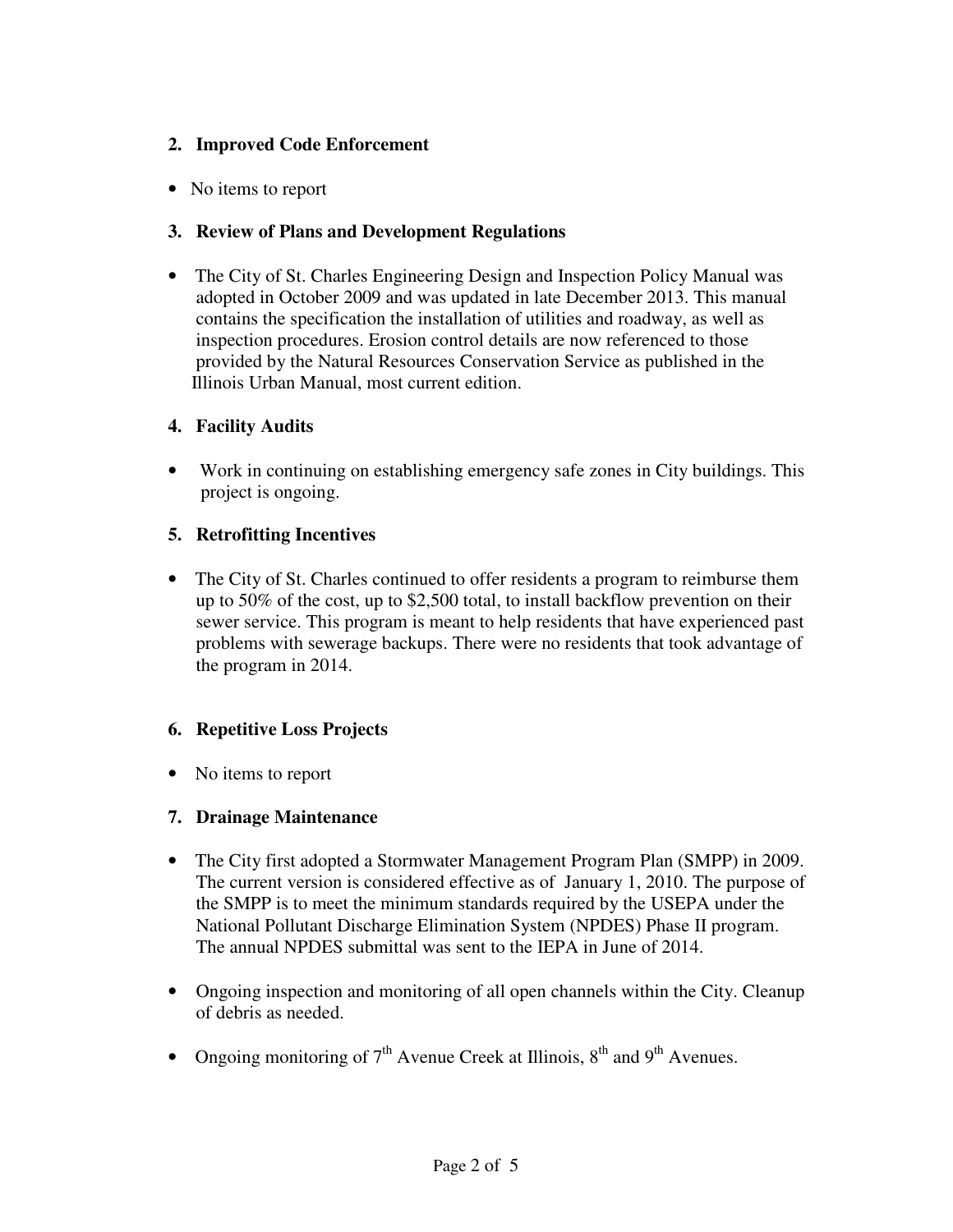# **2. Improved Code Enforcement**

• No items to report

# **3. Review of Plans and Development Regulations**

• The City of St. Charles Engineering Design and Inspection Policy Manual was adopted in October 2009 and was updated in late December 2013. This manual contains the specification the installation of utilities and roadway, as well as inspection procedures. Erosion control details are now referenced to those provided by the Natural Resources Conservation Service as published in the Illinois Urban Manual, most current edition.

# **4. Facility Audits**

 • Work in continuing on establishing emergency safe zones in City buildings. This project is ongoing.

# **5. Retrofitting Incentives**

• The City of St. Charles continued to offer residents a program to reimburse them up to 50% of the cost, up to \$2,500 total, to install backflow prevention on their sewer service. This program is meant to help residents that have experienced past problems with sewerage backups. There were no residents that took advantage of the program in 2014.

# **6. Repetitive Loss Projects**

• No items to report

# **7. Drainage Maintenance**

- The City first adopted a Stormwater Management Program Plan (SMPP) in 2009. The current version is considered effective as of January 1, 2010. The purpose of the SMPP is to meet the minimum standards required by the USEPA under the National Pollutant Discharge Elimination System (NPDES) Phase II program. The annual NPDES submittal was sent to the IEPA in June of 2014.
- Ongoing inspection and monitoring of all open channels within the City. Cleanup of debris as needed.
- Ongoing monitoring of  $7<sup>th</sup>$  Avenue Creek at Illinois,  $8<sup>th</sup>$  and  $9<sup>th</sup>$  Avenues.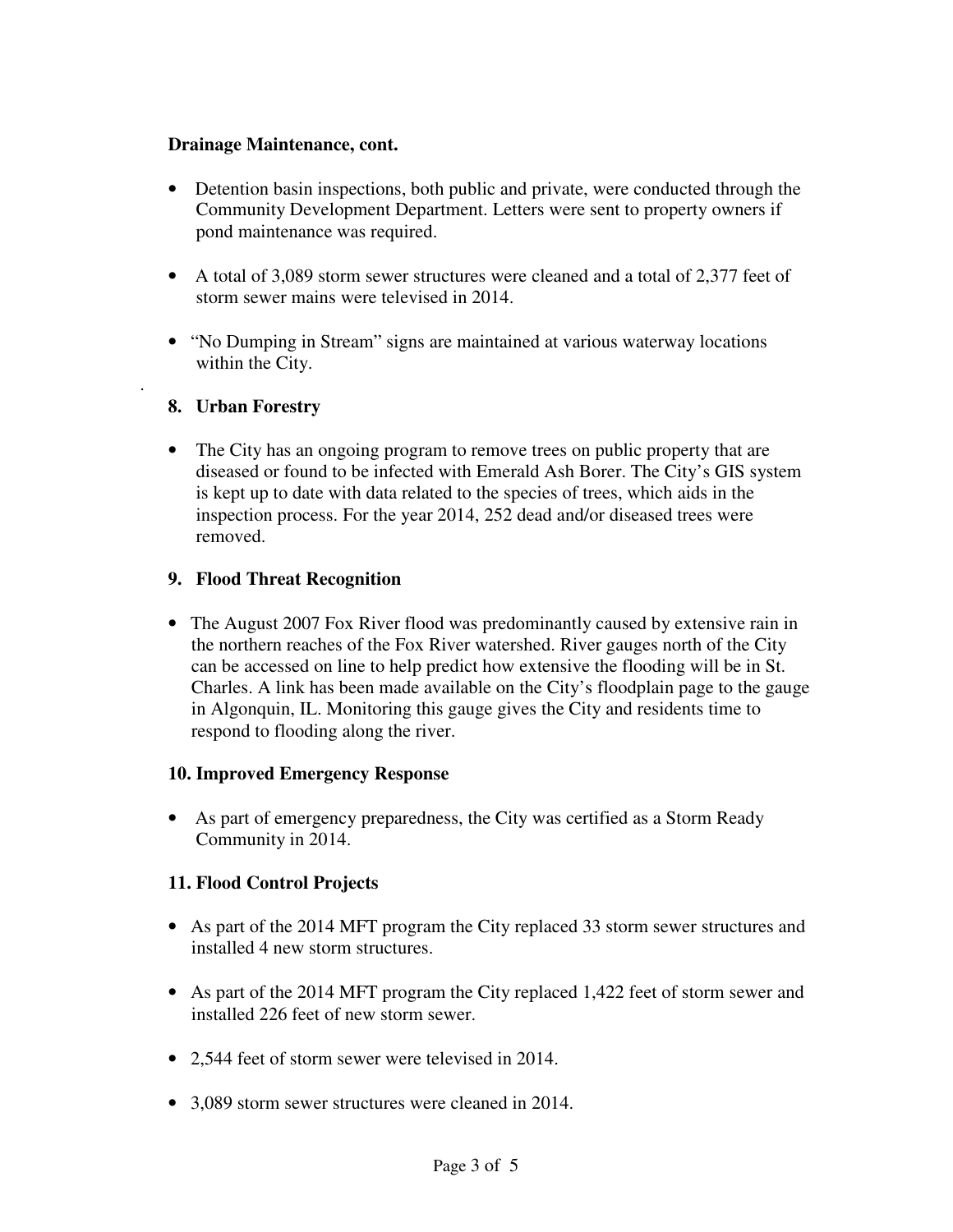### **Drainage Maintenance, cont.**

- Detention basin inspections, both public and private, were conducted through the Community Development Department. Letters were sent to property owners if pond maintenance was required.
- A total of 3,089 storm sewer structures were cleaned and a total of 2,377 feet of storm sewer mains were televised in 2014.
- "No Dumping in Stream" signs are maintained at various waterway locations within the City.

# **8. Urban Forestry**

.

• The City has an ongoing program to remove trees on public property that are diseased or found to be infected with Emerald Ash Borer. The City's GIS system is kept up to date with data related to the species of trees, which aids in the inspection process. For the year 2014, 252 dead and/or diseased trees were removed.

# **9. Flood Threat Recognition**

• The August 2007 Fox River flood was predominantly caused by extensive rain in the northern reaches of the Fox River watershed. River gauges north of the City can be accessed on line to help predict how extensive the flooding will be in St. Charles. A link has been made available on the City's floodplain page to the gauge in Algonquin, IL. Monitoring this gauge gives the City and residents time to respond to flooding along the river.

# **10. Improved Emergency Response**

• As part of emergency preparedness, the City was certified as a Storm Ready Community in 2014.

# **11. Flood Control Projects**

- As part of the 2014 MFT program the City replaced 33 storm sewer structures and installed 4 new storm structures.
- As part of the 2014 MFT program the City replaced 1,422 feet of storm sewer and installed 226 feet of new storm sewer.
- 2,544 feet of storm sewer were televised in 2014.
- 3,089 storm sewer structures were cleaned in 2014.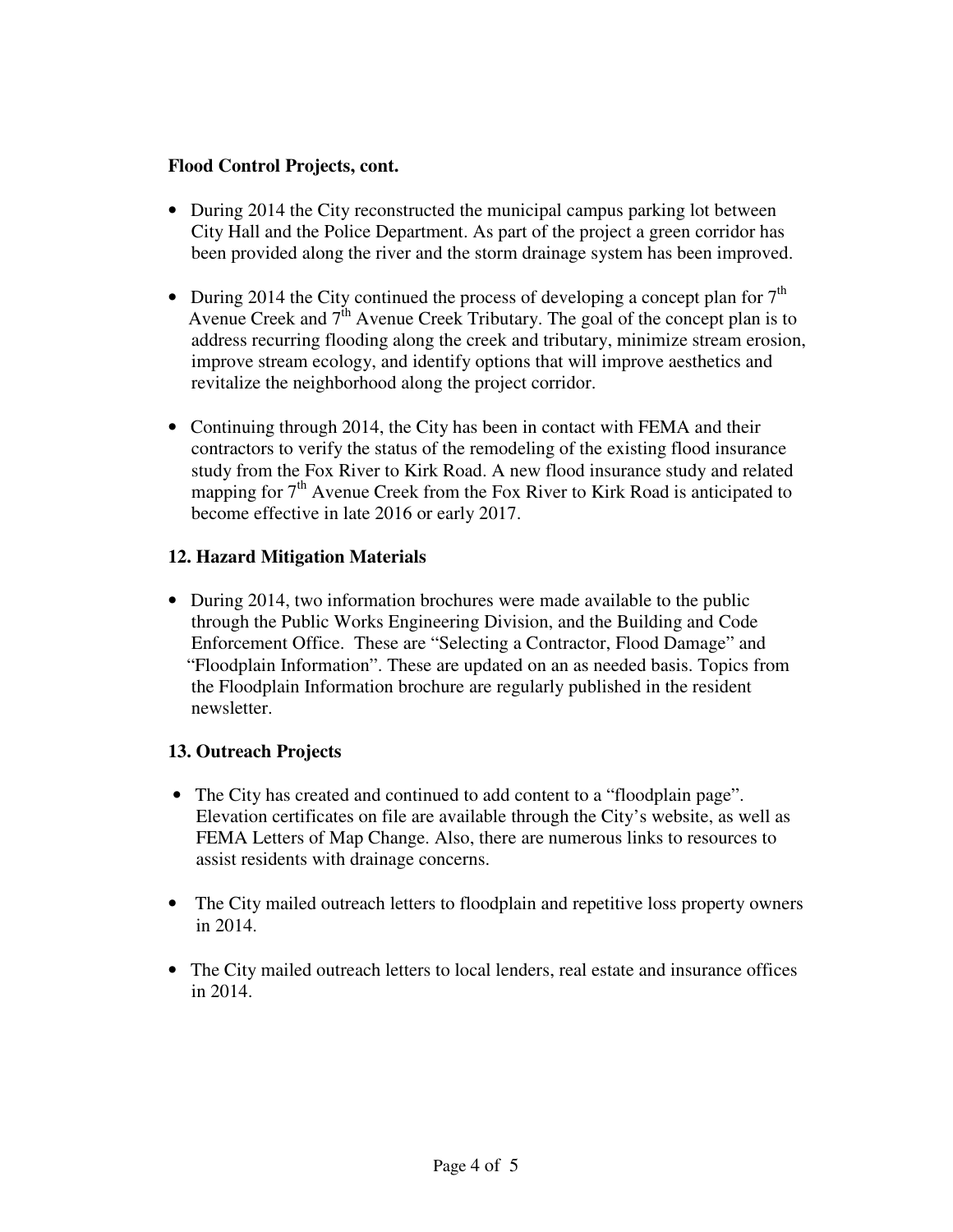### **Flood Control Projects, cont.**

- During 2014 the City reconstructed the municipal campus parking lot between City Hall and the Police Department. As part of the project a green corridor has been provided along the river and the storm drainage system has been improved.
- During 2014 the City continued the process of developing a concept plan for  $7<sup>th</sup>$ Avenue Creek and  $7<sup>th</sup>$  Avenue Creek Tributary. The goal of the concept plan is to address recurring flooding along the creek and tributary, minimize stream erosion, improve stream ecology, and identify options that will improve aesthetics and revitalize the neighborhood along the project corridor.
- Continuing through 2014, the City has been in contact with FEMA and their contractors to verify the status of the remodeling of the existing flood insurance study from the Fox River to Kirk Road. A new flood insurance study and related mapping for  $7<sup>th</sup>$  Avenue Creek from the Fox River to Kirk Road is anticipated to become effective in late 2016 or early 2017.

### **12. Hazard Mitigation Materials**

• During 2014, two information brochures were made available to the public through the Public Works Engineering Division, and the Building and Code Enforcement Office. These are "Selecting a Contractor, Flood Damage" and "Floodplain Information". These are updated on an as needed basis. Topics from the Floodplain Information brochure are regularly published in the resident newsletter.

#### **13. Outreach Projects**

- The City has created and continued to add content to a "floodplain page". Elevation certificates on file are available through the City's website, as well as FEMA Letters of Map Change. Also, there are numerous links to resources to assist residents with drainage concerns.
- The City mailed outreach letters to floodplain and repetitive loss property owners in 2014.
- The City mailed outreach letters to local lenders, real estate and insurance offices in 2014.